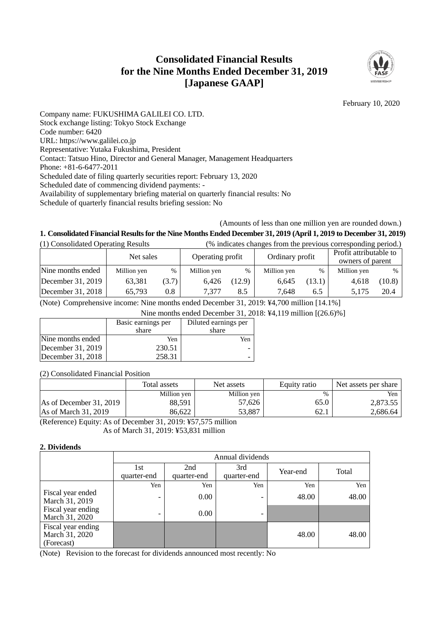# **Consolidated Financial Results for the Nine Months Ended December 31, 2019 [Japanese GAAP]**



February 10, 2020

Company name: FUKUSHIMA GALILEI CO. LTD. Stock exchange listing: Tokyo Stock Exchange Code number: 6420 URL: https://www.galilei.co.jp Representative: Yutaka Fukushima, President Contact: Tatsuo Hino, Director and General Manager, Management Headquarters Phone: +81-6-6477-2011 Scheduled date of filing quarterly securities report: February 13, 2020 Scheduled date of commencing dividend payments: - Availability of supplementary briefing material on quarterly financial results: No Schedule of quarterly financial results briefing session: No

### (Amounts of less than one million yen are rounded down.)

## **1. Consolidated Financial Results for the Nine Months Ended December 31, 2019 (April 1, 2019 to December 31, 2019)**

| (1) Consolidated Operating Results |             |       | (% indicates changes from the previous corresponding period.) |        |                 |        |                                            |        |
|------------------------------------|-------------|-------|---------------------------------------------------------------|--------|-----------------|--------|--------------------------------------------|--------|
|                                    | Net sales   |       | Operating profit                                              |        | Ordinary profit |        | Profit attributable to<br>owners of parent |        |
| Nine months ended                  | Million yen | $\%$  | Million yen                                                   | $\%$   | Million yen     | $\%$   | Million yen                                | $\%$   |
| December 31, 2019                  | 63.381      | (3.7) | 6.426                                                         | (12.9) | 6.645           | (13.1) | 4,618                                      | (10.8) |
| December $31, 2018$                | 65,793      | 0.8   | 7.377                                                         | 8.5    | 7.648           | 6.5    | 5.175                                      | 20.4   |

(Note) Comprehensive income: Nine months ended December 31, 2019: ¥4,700 million [14.1%]

Nine months ended December 31, 2018: ¥4,119 million [(26.6)%]

|                   | Basic earnings per | Diluted earnings per     |  |
|-------------------|--------------------|--------------------------|--|
|                   | share              | share                    |  |
| Nine months ended | Yen                | Yen                      |  |
| December 31, 2019 | 230.51             |                          |  |
| December 31, 2018 | 258.31             | $\overline{\phantom{0}}$ |  |

(2) Consolidated Financial Position

|                               | Total assets | Net assets  | Equity ratio | Net assets per share |
|-------------------------------|--------------|-------------|--------------|----------------------|
|                               | Million yen  | Million yen | %            | Yen                  |
| As of December $31, 2019$     | 88,591       | 57.626      | 65.0         | 2.873.55             |
| $\text{As}$ of March 31, 2019 | 86.622       | 53,887      | 62.1         | 2.686.64             |

(Reference) Equity: As of December 31, 2019: ¥57,575 million As of March 31, 2019: ¥53,831 million

#### **2. Dividends**

|                                                    |                    | Annual dividends   |                    |          |       |  |  |
|----------------------------------------------------|--------------------|--------------------|--------------------|----------|-------|--|--|
|                                                    | 1st<br>quarter-end | 2nd<br>quarter-end | 3rd<br>quarter-end | Year-end | Total |  |  |
|                                                    | Yen                | Yen                | Yen                | Yen      | Yen   |  |  |
| Fiscal year ended<br>March 31, 2019                | -                  | 0.00               | -                  | 48.00    | 48.00 |  |  |
| Fiscal year ending<br>March 31, 2020               | -                  | 0.00               | -                  |          |       |  |  |
| Fiscal year ending<br>March 31, 2020<br>(Forecast) |                    |                    |                    | 48.00    | 48.00 |  |  |

(Note) Revision to the forecast for dividends announced most recently: No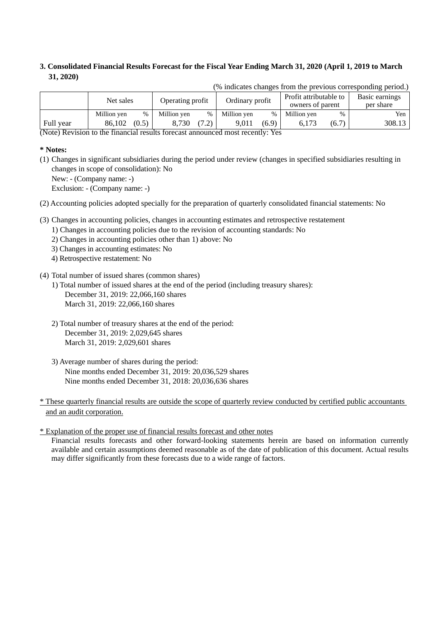## **3. Consolidated Financial Results Forecast for the Fiscal Year Ending March 31, 2020 (April 1, 2019 to March 31, 2020)**

|                                                                                                         |                               |       |             |                 |             |                                            |             |                             | $\mu$ indicates changes from the previous corresponding period. |
|---------------------------------------------------------------------------------------------------------|-------------------------------|-------|-------------|-----------------|-------------|--------------------------------------------|-------------|-----------------------------|-----------------------------------------------------------------|
|                                                                                                         | Net sales<br>Operating profit |       |             | Ordinary profit |             | Profit attributable to<br>owners of parent |             | Basic earnings<br>per share |                                                                 |
|                                                                                                         | Million ven                   | $\%$  | Million ven | $\%$            | Million yen | $\%$                                       | Million ven | $\%$                        | Yen                                                             |
| Full year                                                                                               | 86.102                        | (0.5) | 8.730       | (7.2)           | 9.011       | (6.9)                                      | 6.173       | (6.7)                       | 308.13                                                          |
| $N_{\text{obs}}$ ) Devision to the financial meults forecast empeyment most measurity. $V_{\text{osc}}$ |                               |       |             |                 |             |                                            |             |                             |                                                                 |

(% indicates changes from the previous corresponding period.)

(Note) Revision to the financial results forecast announced most recently: Yes

#### **\* Notes:**

(1) Changes in significant subsidiaries during the period under review (changes in specified subsidiaries resulting in changes in scope of consolidation): No

New: - (Company name: -)

Exclusion: - (Company name: -)

(2) Accounting policies adopted specially for the preparation of quarterly consolidated financial statements: No

- (3) Changes in accounting policies, changes in accounting estimates and retrospective restatement
	- 1) Changes in accounting policies due to the revision of accounting standards: No
		- 2) Changes in accounting policies other than 1) above: No
		- 3) Changes in accounting estimates: No
		- 4) Retrospective restatement: No
- (4) Total number of issued shares (common shares)
	- 1) Total number of issued shares at the end of the period (including treasury shares): December 31, 2019: 22,066,160 shares March 31, 2019: 22,066,160 shares
	- 2) Total number of treasury shares at the end of the period: December 31, 2019: 2,029,645 shares March 31, 2019: 2,029,601 shares
	- 3) Average number of shares during the period: Nine months ended December 31, 2019: 20,036,529 shares Nine months ended December 31, 2018: 20,036,636 shares
- \* These quarterly financial results are outside the scope of quarterly review conducted by certified public accountants and an audit corporation.

\* Explanation of the proper use of financial results forecast and other notes

Financial results forecasts and other forward-looking statements herein are based on information currently available and certain assumptions deemed reasonable as of the date of publication of this document. Actual results may differ significantly from these forecasts due to a wide range of factors.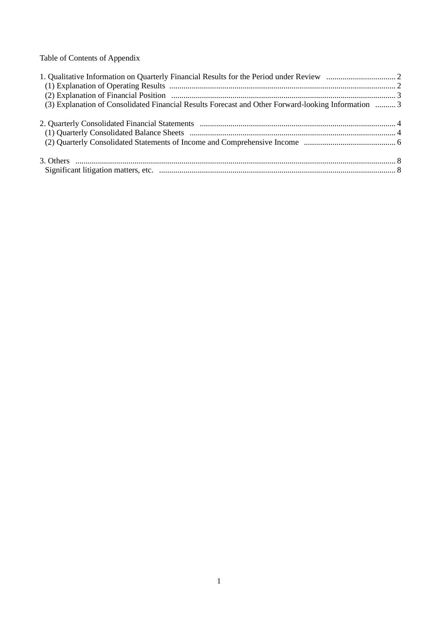Table of Contents of Appendix

| (3) Explanation of Consolidated Financial Results Forecast and Other Forward-looking Information  3 |  |
|-----------------------------------------------------------------------------------------------------|--|
|                                                                                                     |  |
|                                                                                                     |  |
|                                                                                                     |  |
|                                                                                                     |  |
|                                                                                                     |  |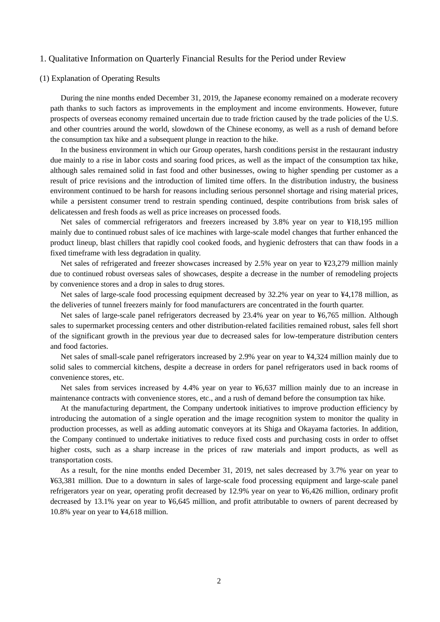#### 1. Qualitative Information on Quarterly Financial Results for the Period under Review

#### (1) Explanation of Operating Results

During the nine months ended December 31, 2019, the Japanese economy remained on a moderate recovery path thanks to such factors as improvements in the employment and income environments. However, future prospects of overseas economy remained uncertain due to trade friction caused by the trade policies of the U.S. and other countries around the world, slowdown of the Chinese economy, as well as a rush of demand before the consumption tax hike and a subsequent plunge in reaction to the hike.

In the business environment in which our Group operates, harsh conditions persist in the restaurant industry due mainly to a rise in labor costs and soaring food prices, as well as the impact of the consumption tax hike, although sales remained solid in fast food and other businesses, owing to higher spending per customer as a result of price revisions and the introduction of limited time offers. In the distribution industry, the business environment continued to be harsh for reasons including serious personnel shortage and rising material prices, while a persistent consumer trend to restrain spending continued, despite contributions from brisk sales of delicatessen and fresh foods as well as price increases on processed foods.

Net sales of commercial refrigerators and freezers increased by 3.8% year on year to ¥18,195 million mainly due to continued robust sales of ice machines with large-scale model changes that further enhanced the product lineup, blast chillers that rapidly cool cooked foods, and hygienic defrosters that can thaw foods in a fixed timeframe with less degradation in quality.

Net sales of refrigerated and freezer showcases increased by 2.5% year on year to ¥23,279 million mainly due to continued robust overseas sales of showcases, despite a decrease in the number of remodeling projects by convenience stores and a drop in sales to drug stores.

Net sales of large-scale food processing equipment decreased by 32.2% year on year to ¥4,178 million, as the deliveries of tunnel freezers mainly for food manufacturers are concentrated in the fourth quarter.

Net sales of large-scale panel refrigerators decreased by 23.4% year on year to ¥6,765 million. Although sales to supermarket processing centers and other distribution-related facilities remained robust, sales fell short of the significant growth in the previous year due to decreased sales for low-temperature distribution centers and food factories.

Net sales of small-scale panel refrigerators increased by 2.9% year on year to ¥4,324 million mainly due to solid sales to commercial kitchens, despite a decrease in orders for panel refrigerators used in back rooms of convenience stores, etc.

Net sales from services increased by 4.4% year on year to ¥6,637 million mainly due to an increase in maintenance contracts with convenience stores, etc., and a rush of demand before the consumption tax hike.

At the manufacturing department, the Company undertook initiatives to improve production efficiency by introducing the automation of a single operation and the image recognition system to monitor the quality in production processes, as well as adding automatic conveyors at its Shiga and Okayama factories. In addition, the Company continued to undertake initiatives to reduce fixed costs and purchasing costs in order to offset higher costs, such as a sharp increase in the prices of raw materials and import products, as well as transportation costs.

As a result, for the nine months ended December 31, 2019, net sales decreased by 3.7% year on year to ¥63,381 million. Due to a downturn in sales of large-scale food processing equipment and large-scale panel refrigerators year on year, operating profit decreased by 12.9% year on year to ¥6,426 million, ordinary profit decreased by 13.1% year on year to ¥6,645 million, and profit attributable to owners of parent decreased by 10.8% year on year to ¥4,618 million.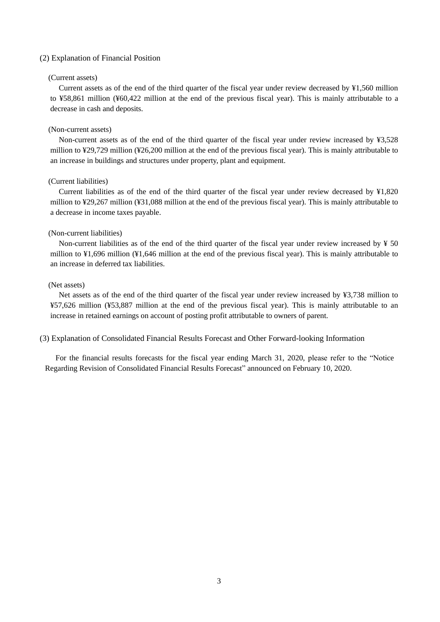#### (2) Explanation of Financial Position

#### (Current assets)

Current assets as of the end of the third quarter of the fiscal year under review decreased by ¥1,560 million to ¥58,861 million (¥60,422 million at the end of the previous fiscal year). This is mainly attributable to a decrease in cash and deposits.

#### (Non-current assets)

Non-current assets as of the end of the third quarter of the fiscal year under review increased by ¥3,528 million to ¥29,729 million (¥26,200 million at the end of the previous fiscal year). This is mainly attributable to an increase in buildings and structures under property, plant and equipment.

#### (Current liabilities)

Current liabilities as of the end of the third quarter of the fiscal year under review decreased by ¥1,820 million to ¥29,267 million (¥31,088 million at the end of the previous fiscal year). This is mainly attributable to a decrease in income taxes payable.

#### (Non-current liabilities)

Non-current liabilities as of the end of the third quarter of the fiscal year under review increased by  $\frac{1}{2}$  50 million to ¥1,696 million (¥1,646 million at the end of the previous fiscal year). This is mainly attributable to an increase in deferred tax liabilities.

#### (Net assets)

Net assets as of the end of the third quarter of the fiscal year under review increased by ¥3,738 million to ¥57,626 million (¥53,887 million at the end of the previous fiscal year). This is mainly attributable to an increase in retained earnings on account of posting profit attributable to owners of parent.

(3) Explanation of Consolidated Financial Results Forecast and Other Forward-looking Information

For the financial results forecasts for the fiscal year ending March 31, 2020, please refer to the "Notice Regarding Revision of Consolidated Financial Results Forecast" announced on February 10, 2020.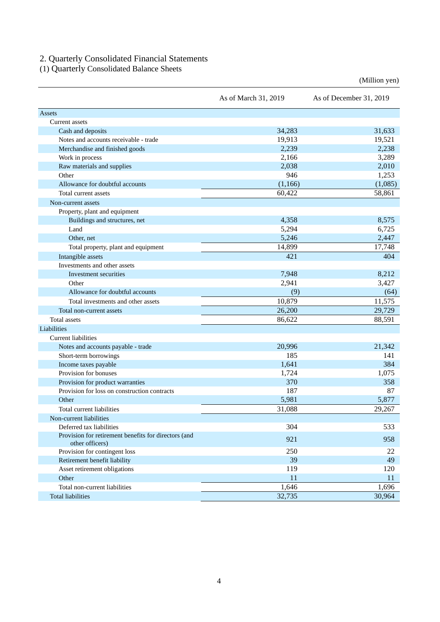#### 2. Quarterly Consolidated Financial Statements

(1) Quarterly Consolidated Balance Sheets

As of March 31, 2019 As of December 31, 2019 Assets Current assets Cash and deposits 34,283 31,633 Notes and accounts receivable - trade 19,913 19,521 Merchandise and finished goods 2,239 2,238 2,238 2,238 Work in process  $2,166$   $3,289$ Raw materials and supplies 2,010 2,010 2,038 2,010 Other 946 1,253 Allowance for doubtful accounts (1,166) (1,166) (1,085) Total current assets 60.422 58.861 Non-current assets Property, plant and equipment Buildings and structures, net 4,358 8,575 Land 5,294 6,725 Other, net  $5,246$   $2,447$ Total property, plant and equipment 14,899 17,748 Intangible assets 421 404 Investments and other assets Investment securities 8,212 Other 2,941 3,427 Allowance for doubtful accounts (64) (64) (64) (64) Total investments and other assets 10,879 11,575 Total non-current assets 26,200 29,729 29,729 Total assets 88,591 Liabilities Current liabilities Notes and accounts payable - trade 20,996 21,342 Short-term borrowings 185 141 Income taxes payable 384 384 Provision for bonuses and the set of the set of the set of the set of the set of the set of the set of the set of the set of the set of the set of the set of the set of the set of the set of the set of the set of the set o Provision for product warranties 370 358 Provision for loss on construction contracts and the set of the set of the set of the set of the set of the set of the set of the set of the set of the set of the set of the set of the set of the set of the set of the set Other  $5,877$ Total current liabilities 29,267 Non-current liabilities Deferred tax liabilities 533 Provision for retirement benefits for directors (and  $\frac{1}{21}$  958 other officers) 958 other officers) Provision for contingent loss 250 22 Retirement benefit liability and the settlement benefit liability and the settlement benefit liability and the settlement of the settlement of the settlement of the settlement of the settlement of the settlement of the set Asset retirement obligations 119 120 Other  $11$  11  $11$ Total non-current liabilities 1,696 1,696 1,696

(Million yen)

Total liabilities 32,735 30,964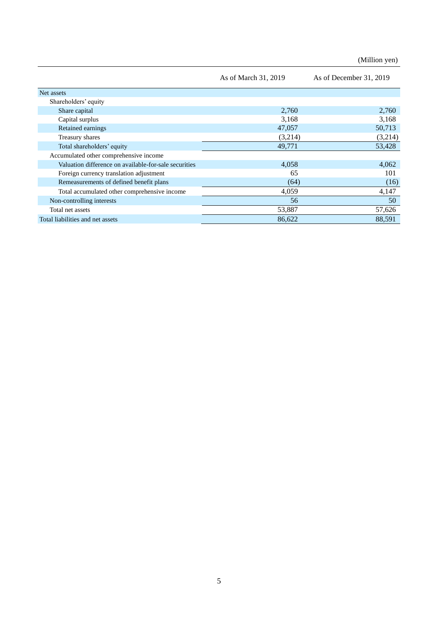(Million yen)

|                                                       | As of March 31, 2019 | As of December 31, 2019 |
|-------------------------------------------------------|----------------------|-------------------------|
| Net assets                                            |                      |                         |
| Shareholders' equity                                  |                      |                         |
| Share capital                                         | 2,760                | 2,760                   |
| Capital surplus                                       | 3,168                | 3,168                   |
| Retained earnings                                     | 47,057               | 50,713                  |
| Treasury shares                                       | (3,214)              | (3,214)                 |
| Total shareholders' equity                            | 49,771               | 53,428                  |
| Accumulated other comprehensive income                |                      |                         |
| Valuation difference on available-for-sale securities | 4,058                | 4,062                   |
| Foreign currency translation adjustment               | 65                   | 101                     |
| Remeasurements of defined benefit plans               | (64)                 | (16)                    |
| Total accumulated other comprehensive income          | 4,059                | 4,147                   |
| Non-controlling interests                             | 56                   | 50                      |
| Total net assets                                      | 53,887               | 57,626                  |
| Total liabilities and net assets                      | 86,622               | 88,591                  |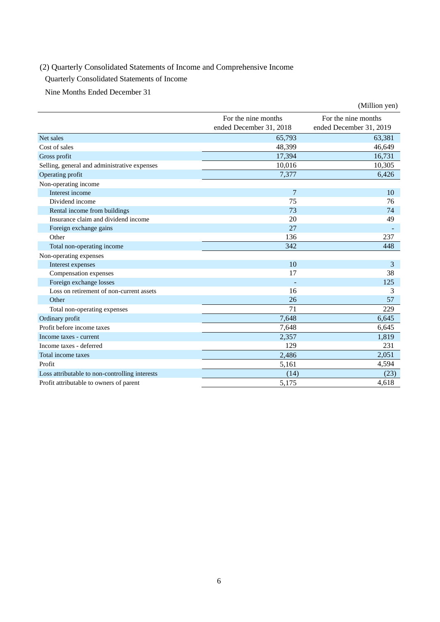# (2) Quarterly Consolidated Statements of Income and Comprehensive Income

Quarterly Consolidated Statements of Income

Nine Months Ended December 31

|                                                |                                                | (Million yen)                                  |
|------------------------------------------------|------------------------------------------------|------------------------------------------------|
|                                                | For the nine months<br>ended December 31, 2018 | For the nine months<br>ended December 31, 2019 |
| Net sales                                      | 65,793                                         | 63,381                                         |
| Cost of sales                                  | 48,399                                         | 46,649                                         |
| Gross profit                                   | 17,394                                         | 16,731                                         |
| Selling, general and administrative expenses   | 10,016                                         | 10,305                                         |
| Operating profit                               | 7,377                                          | 6,426                                          |
| Non-operating income                           |                                                |                                                |
| Interest income                                | 7                                              | 10                                             |
| Dividend income                                | 75                                             | 76                                             |
| Rental income from buildings                   | 73                                             | 74                                             |
| Insurance claim and dividend income            | 20                                             | 49                                             |
| Foreign exchange gains                         | 27                                             |                                                |
| Other                                          | 136                                            | 237                                            |
| Total non-operating income                     | 342                                            | 448                                            |
| Non-operating expenses                         |                                                |                                                |
| Interest expenses                              | 10                                             | 3                                              |
| Compensation expenses                          | 17                                             | 38                                             |
| Foreign exchange losses                        |                                                | 125                                            |
| Loss on retirement of non-current assets       | 16                                             | 3                                              |
| Other                                          | 26                                             | 57                                             |
| Total non-operating expenses                   | 71                                             | 229                                            |
| Ordinary profit                                | 7,648                                          | 6,645                                          |
| Profit before income taxes                     | 7,648                                          | 6,645                                          |
| Income taxes - current                         | 2,357                                          | 1,819                                          |
| Income taxes - deferred                        | 129                                            | 231                                            |
| Total income taxes                             | 2,486                                          | 2,051                                          |
| Profit                                         | 5,161                                          | 4,594                                          |
| Loss attributable to non-controlling interests | (14)                                           | (23)                                           |
| Profit attributable to owners of parent        | 5,175                                          | 4,618                                          |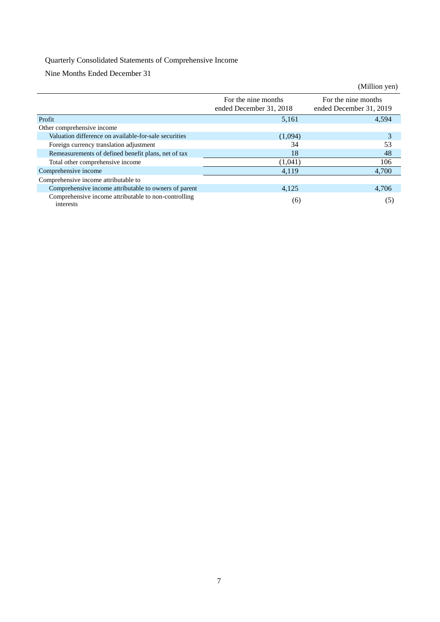# Quarterly Consolidated Statements of Comprehensive Income

Nine Months Ended December 31

|                                                                   |                                                | (Million yen)                                  |
|-------------------------------------------------------------------|------------------------------------------------|------------------------------------------------|
|                                                                   | For the nine months<br>ended December 31, 2018 | For the nine months<br>ended December 31, 2019 |
| Profit                                                            | 5,161                                          | 4.594                                          |
| Other comprehensive income                                        |                                                |                                                |
| Valuation difference on available-for-sale securities             | (1,094)                                        | 3                                              |
| Foreign currency translation adjustment                           | 34                                             | 53                                             |
| Remeasurements of defined benefit plans, net of tax               | 18                                             | 48                                             |
| Total other comprehensive income                                  | (1,041)                                        | 106                                            |
| Comprehensive income                                              | 4,119                                          | 4,700                                          |
| Comprehensive income attributable to                              |                                                |                                                |
| Comprehensive income attributable to owners of parent             | 4,125                                          | 4,706                                          |
| Comprehensive income attributable to non-controlling<br>interests | (6)                                            | (5)                                            |